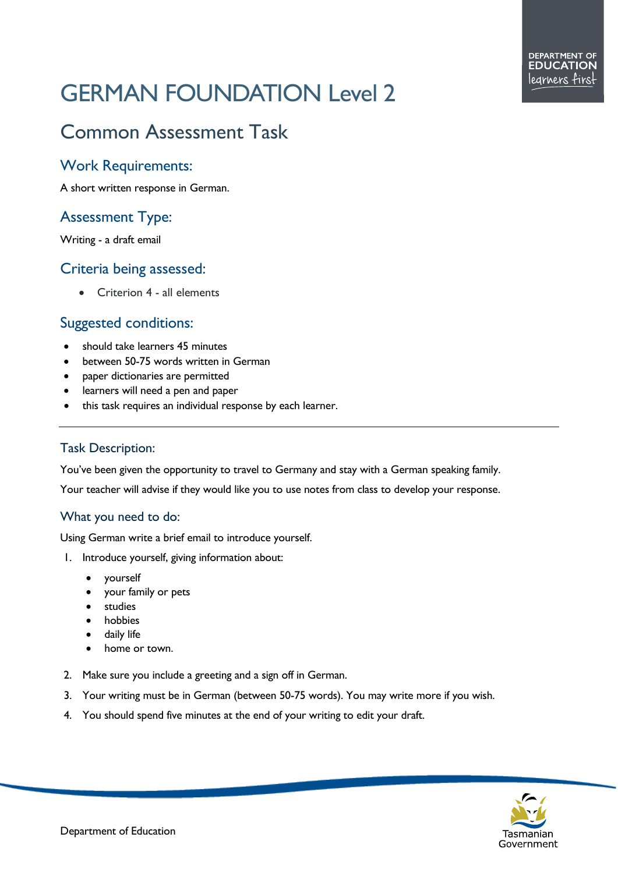# GERMAN FOUNDATION Level 2

# Common Assessment Task

#### Work Requirements:

A short written response in German.

## Assessment Type:

Writing - a draft email

#### Criteria being assessed:

• Criterion 4 - all elements

#### Suggested conditions:

- should take learners 45 minutes
- between 50-75 words written in German
- paper dictionaries are permitted
- learners will need a pen and paper
- this task requires an individual response by each learner.

#### Task Description:

You've been given the opportunity to travel to Germany and stay with a German speaking family.

Your teacher will advise if they would like you to use notes from class to develop your response.

#### What you need to do:

Using German write a brief email to introduce yourself.

- 1. Introduce yourself, giving information about:
	- yourself
	- your family or pets
	- studies
	- **hobbies**
	- daily life
	- home or town.
- 2. Make sure you include a greeting and a sign off in German.
- 3. Your writing must be in German (between 50-75 words). You may write more if you wish.
- 4. You should spend five minutes at the end of your writing to edit your draft.